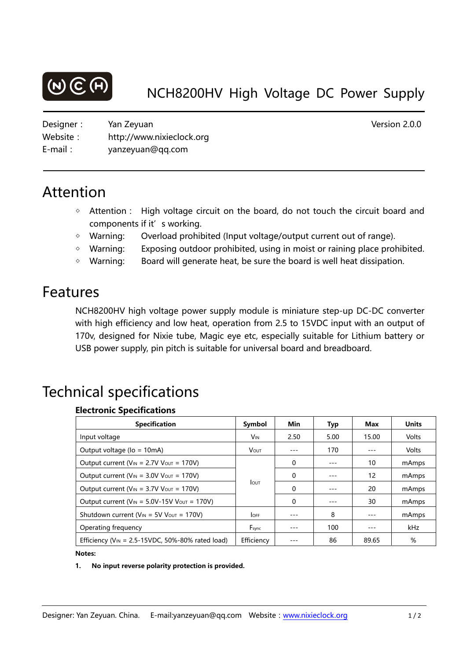

Designer: Yan Zeyuan Version 2.0.0 Website: http://www.nixieclock.org E-mail: yanzeyuan@qq.com

# Attention

- ◇ Attention: High voltage circuit on the board, do not touch the circuit board and components if it's working.
- ◇ Warning: Overload prohibited (Input voltage/output current out of range).
- ◇ Warning: Exposing outdoor prohibited, using in moist or raining place prohibited.
- ◇ Warning: Board will generate heat, be sure the board is well heat dissipation.

# Features

NCH8200HV high voltage power supply module is miniature step-up DC-DC converter with high efficiency and low heat, operation from 2.5 to 15VDC input with an output of 170v, designed for Nixie tube, Magic eye etc, especially suitable for Lithium battery or USB power supply, pin pitch is suitable for universal board and breadboard.

# Technical specifications

## **Electronic Specifications**

| <b>Specification</b>                                   | <b>Symbol</b>   | Min      | Typ  | Max   | <b>Units</b> |
|--------------------------------------------------------|-----------------|----------|------|-------|--------------|
| Input voltage                                          | V <sub>IN</sub> | 2.50     | 5.00 | 15.00 | Volts        |
| Output voltage (lo = 10mA)                             | <b>VOUT</b>     |          | 170  |       | Volts        |
| Output current ( $V_{IN}$ = 2.7V $V_{OUT}$ = 170V)     | <b>LOUT</b>     | 0        |      | 10    | mAmps        |
| Output current ( $V_{IN}$ = 3.0V $V_{OUT}$ = 170V)     |                 | $\Omega$ |      | 12    | mAmps        |
| Output current ( $V_{IN}$ = 3.7V $V_{OUT}$ = 170V)     |                 | 0        |      | 20    | mAmps        |
| Output current ( $V_{IN}$ = 5.0V-15V $V_{OUT}$ = 170V) |                 | 0        |      | 30    | mAmps        |
| Shutdown current ( $V_{IN}$ = 5V $V_{OUT}$ = 170V)     | <b>OFF</b>      | ---      | 8    |       | mAmps        |
| Operating frequency                                    | Fsync           |          | 100  |       | kHz          |
| Efficiency ( $V_{IN}$ = 2.5-15VDC, 50%-80% rated load) | Efficiency      |          | 86   | 89.65 | %            |

#### **Notes:**

### 1. No input reverse polarity protection is provided.